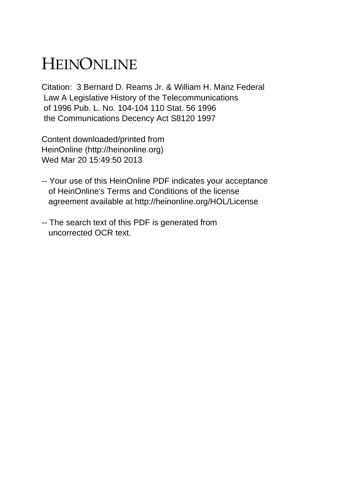## HEINONLINE

Citation: 3 Bernard D. Reams Jr. & William H. Manz Federal Law A Legislative History of the Telecommunications of 1996 Pub. L. No. 104-104 110 Stat. 56 1996 the Communications Decency Act S8120 1997

Content downloaded/printed from HeinOnline (http://heinonline.org) Wed Mar 20 15:49:50 2013

- -- Your use of this HeinOnline PDF indicates your acceptance of HeinOnline's Terms and Conditions of the license agreement available at http://heinonline.org/HOL/License
- -- The search text of this PDF is generated from uncorrected OCR text.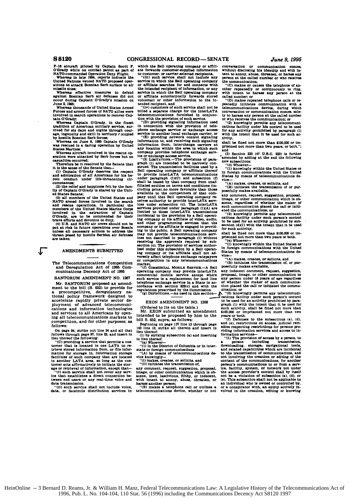vived for six days and nights through cour- phone exchange service or exchange access for any activity prohibited by paragraph (i) age, ingenuity and skill in territory coupled service to another local exchange carrier, or

Γ.

The Telecommunications Competition or competition in any telecommunications (3) initiates the transmission of or pur-<br>and Deregulation Act of 1995 Com- "(f) COMMERCIAL MOBILE SERVICE-A Bell Posefully makes available.<br>munic

Mr. SANTORUM proposed an amend-<br>cordance with section 322(c) and with the tion placed the call or initiated the communication<br>ment to the bill (S. 632) to provide for regulations prescribed by the Commission. Initation: o tional policy framework designed to<br>
topics and the second and section and intervent work of the second topics of the section of advanced telecommuni-<br>
EXON AMENDMENT NO. 1263<br>
126 and information technologies and informat **Interviews to all Americans by open-**<br> **Intended to be proposed by him to the years or both.**<br> **Ing all telecommunications markets to bull S. 652, supra, as follows:**<br>  $\frac{1}{100}$  to the subsections of a search intended t Ing an energy influences in the subsections (a), (d),<br>Competition, and for other purposes; as<br>follows:<br>follows:<br>follows:<br>follows:<br>follows:<br>follows:<br>and (e), restrictions on access, judical remonstrations of the partial res

"C) providing a service that permits a cus-<br>
"(c) providing a service that permits a cus-<br>
"(c) providing a service that permits a cus-<br>
"(i) in the District of Columbia or in inter-<br>
trieve stored information from, or fi mation for storage in, information storage "(A) by means of telecommunications de-<br>facilities of such company that are located vice knowingly-<br>not involving the creation or editing of the

ations to attack Bosnian Serb surface to air or affiliate searches for and connects with "(C) makes or causes the telephone of an-<br>missile attes;<br>Whereas effective measures to defend service in which the Bell operating com missile sizes. Bosian Berb air defenses did not or affiliate automatically forwards stored called number; or<br>against Bosnian Berb air defenses did not or affiliate automatically forwards stored called number; or<br>against Bo

by hostle Bosnian Serb forces; we would be providing network control signaling tivity,<br>Whereas on June 8, 1996 Captain O'Grady information to, and receiving such signaling shall be fined not more than \$100,000 or im-<br>Was r States Marines:<br>Whereas aircraft involved in the rescue op-company provides telephone exchange serv-  $\frac{1}{200}$  Section 223 (47 U.S.C. 223) is further

eration were attacked by Serb forces but no  $^{12}$  (2) LIBHTATIONS. The provisions of para-<br>station and the following actual the society of the Serate that  $^{12}$  (2) LIBHTATIONS. The provisions of para-<br>amended by adding Butlee. The transmission ascures used of  $W_1$  is incomingly within the United-States or provide interlaTA. telecommunications with the United-under paragraph (1XC) and subsection (f) vice--<br>under paragraph (1XC) and subs cumstances;<br>(2) the relief and happiness felt by the fam-<br>(3) the relief and happiness felt by the fam-<br>(3) the relief and happiness felt by the fam-<br>(3) initiates the transmission of or pure lly of Capitain O'Grady is shared by the Unit-<br>
cluding price), no more favorable than those<br>
equilible is the competitors of that com-<br>
costuly makes available,<br>
equilible in the search cells and pany until that Bell ope COTACT, are to be commended for their incidental to the provision by a Bell operat.<br>
The COTACT is called to the commended for their incidental to the provision by a Bell operat.<br>
The commended for their incidental to the

munications Decency Act of 1995<br>
commercial mobile service arept where<br>
SANTORUM AMENDMENT NO. 1267<br>
Mr. SANTORUM proposed an amend-<br>
Leighbone exchange service in a State in ac-<br>
Mr. SANTORUM proposed an amend-<br>
Leighbone

F-16 aircraft piloted by Captain Scott F. which the Bell operating company or affili- conversation or communication ensues,<br>O'Grady while on combat patrol as part of a to forwards customer-supplied information without disc

June 2, 1995;<br>
These and the contract of the contract of the contract of the contract of the contract of the contract of the contract of the contract of the contract of the contract of the contract of the contract of the c

involved in search operations to recover Cap-<br>
tion with the provision of such service. Iy to harass any person at the called number<br>
tion of the finest "(D) providing signaling information used or who recovers the called

eration were attacked by Serb forces but no<br>casualities occurred;<br>The provisions of para. Amended by adding at the end the following<br>Therefore be it resolved by the Senate that [[IRE] (1) are intended to be narrowly con-<br>T

**any indecent comment, request, suggestion.**<br> **Proposal**, image, or other communication to<br> **Any person under 18 years of age regardless**<br>
of whether the maker of such communica-

competition, and for other purposes; as<br>
follows:<br>
The contract on page 137 line 12 through page and (e), restrictions on access, judicial<br>
(c) page 94, strike out line 24 and all that is the thereof:<br>
(c) by striking subs

lieu thereof the following:<br>
"(1) The provision of access by a person, to<br>
"(C) providing a service that permits a cus-<br>
"(2) Whoever-<br>
a person including transmission, In another LATA area, so long as the cus-<br>
"(i) makes, creates, or solicits, and<br>
content of the communications, for another<br>
tomen acts affirmatively to initiate the stor-<br>
"(ii) initiates the transmission of, proposal, ey of cheres and with interest and with interest, suggestion, proposal, we cannot all by itself<br>
(i) such service shall not cover any serv- image, or other communication which is ob-<br>
the access provider's control shall by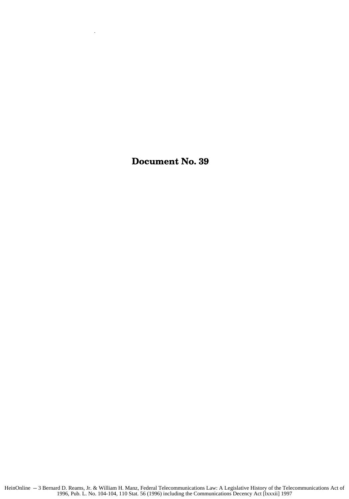Document No. **39**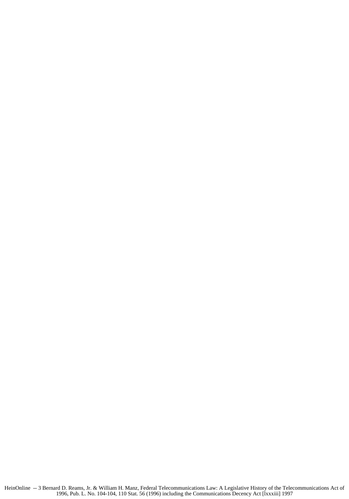HeinOnline -- 3 Bernard D. Reams, Jr. & William H. Manz, Federal Telecommunications Law: A Legislative History of the Telecommunications Act of 1996, Pub. L. No. 104-104, 110 Stat. 56 (1996) including the Communications Decency Act [lxxxiii] 1997